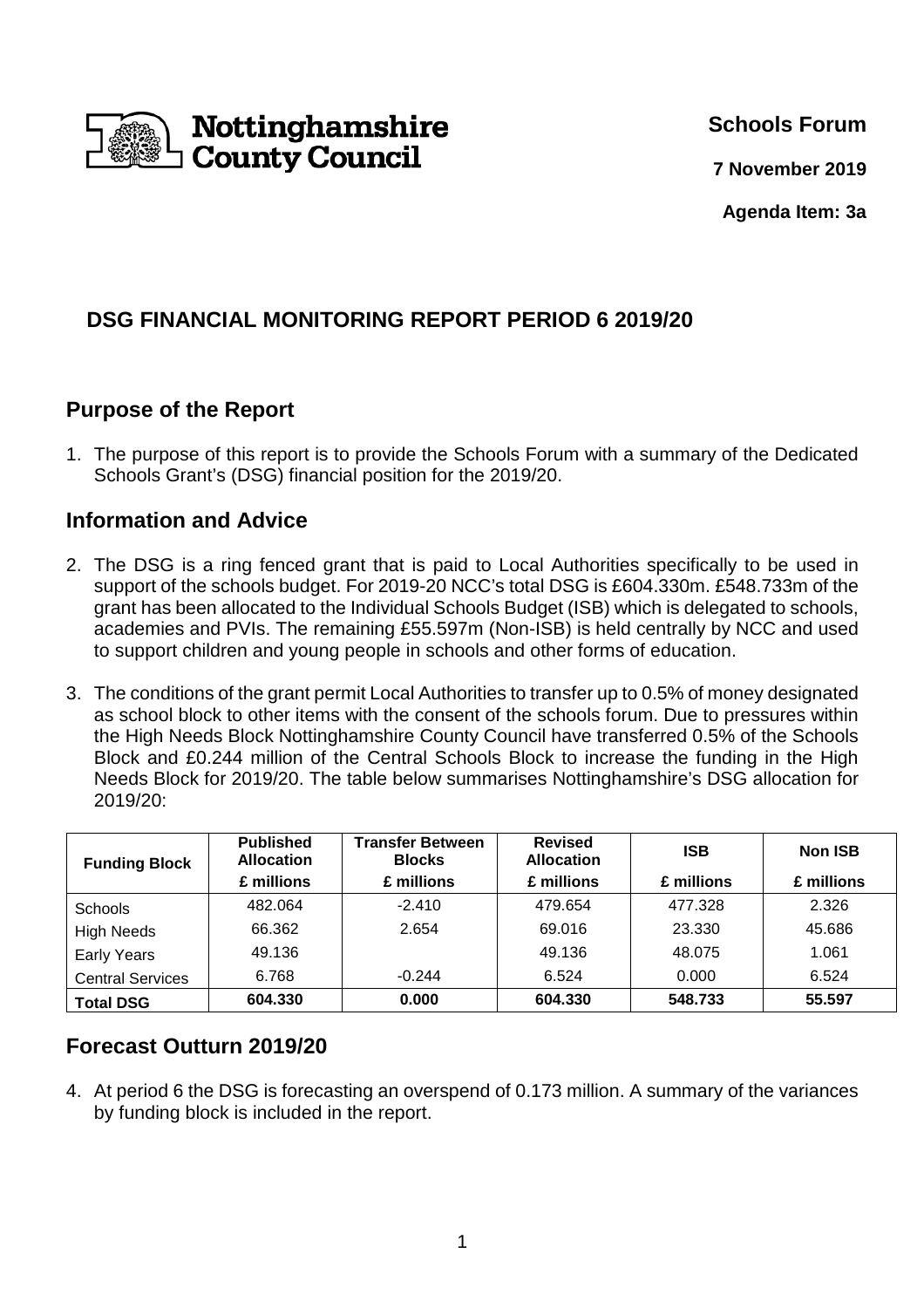

**Schools Forum**

**7 November 2019**

**Agenda Item: 3a** 

# **DSG FINANCIAL MONITORING REPORT PERIOD 6 2019/20**

## **Purpose of the Report**

1. The purpose of this report is to provide the Schools Forum with a summary of the Dedicated Schools Grant's (DSG) financial position for the 2019/20.

### **Information and Advice**

- 2. The DSG is a ring fenced grant that is paid to Local Authorities specifically to be used in support of the schools budget. For 2019-20 NCC's total DSG is £604.330m. £548.733m of the grant has been allocated to the Individual Schools Budget (ISB) which is delegated to schools, academies and PVIs. The remaining £55.597m (Non-ISB) is held centrally by NCC and used to support children and young people in schools and other forms of education.
- 3. The conditions of the grant permit Local Authorities to transfer up to 0.5% of money designated as school block to other items with the consent of the schools forum. Due to pressures within the High Needs Block Nottinghamshire County Council have transferred 0.5% of the Schools Block and £0.244 million of the Central Schools Block to increase the funding in the High Needs Block for 2019/20. The table below summarises Nottinghamshire's DSG allocation for 2019/20:

| <b>Funding Block</b>    | <b>Published</b><br><b>Allocation</b> | <b>Transfer Between</b><br><b>Blocks</b> | <b>Revised</b><br><b>Allocation</b> | <b>ISB</b> | <b>Non ISB</b> |
|-------------------------|---------------------------------------|------------------------------------------|-------------------------------------|------------|----------------|
|                         | £ millions                            | £ millions                               | £ millions                          | £ millions | £ millions     |
| <b>Schools</b>          | 482.064                               | $-2.410$                                 | 479.654                             | 477.328    | 2.326          |
| <b>High Needs</b>       | 66.362                                | 2.654                                    | 69.016                              | 23.330     | 45.686         |
| <b>Early Years</b>      | 49.136                                |                                          | 49.136                              | 48.075     | 1.061          |
| <b>Central Services</b> | 6.768                                 | $-0.244$                                 | 6.524                               | 0.000      | 6.524          |
| <b>Total DSG</b>        | 604.330                               | 0.000                                    | 604.330                             | 548.733    | 55.597         |

## **Forecast Outturn 2019/20**

4. At period 6 the DSG is forecasting an overspend of 0.173 million. A summary of the variances by funding block is included in the report.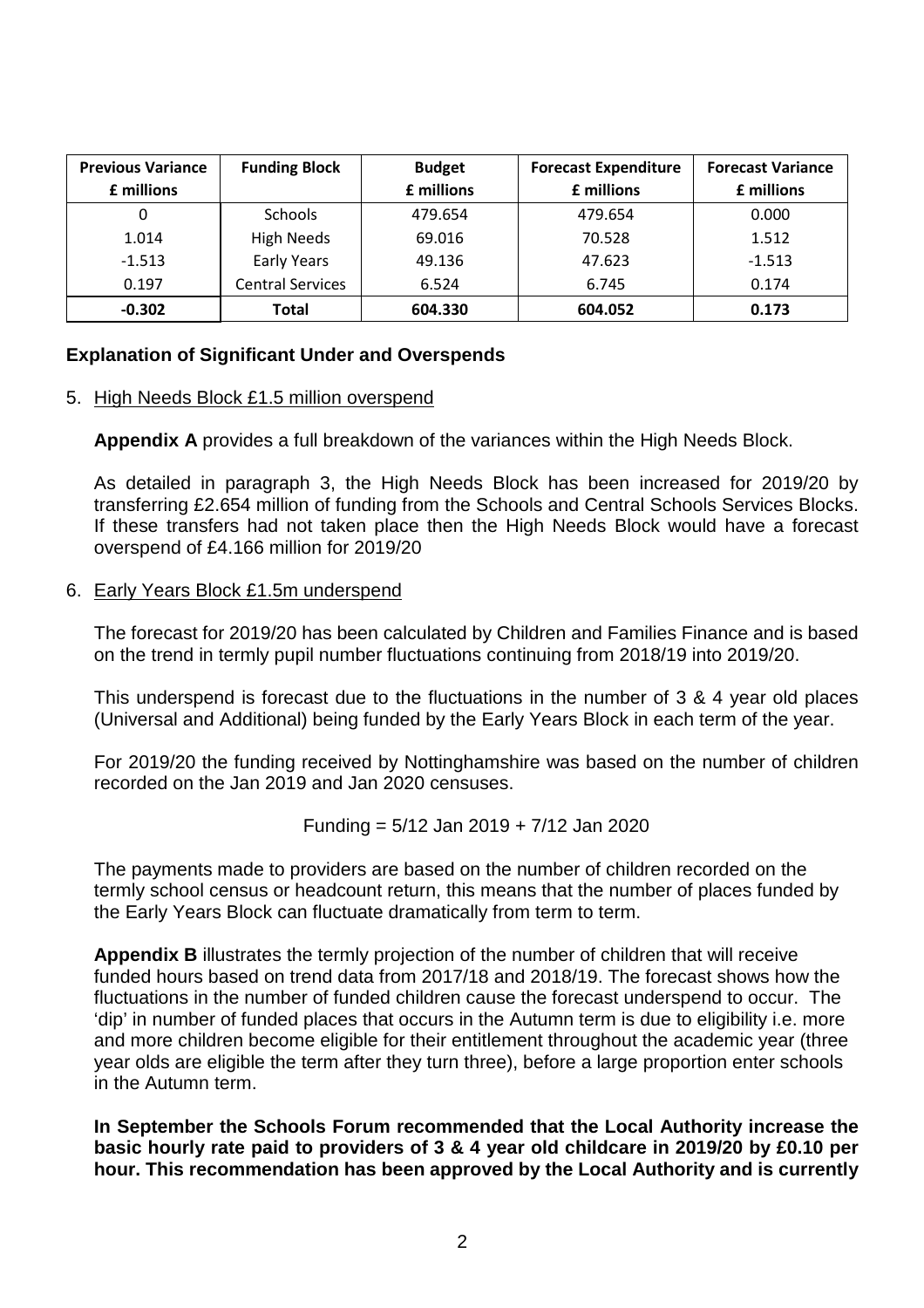| <b>Previous Variance</b> | <b>Funding Block</b>    | <b>Budget</b> | <b>Forecast Expenditure</b> | <b>Forecast Variance</b> |
|--------------------------|-------------------------|---------------|-----------------------------|--------------------------|
| £ millions               |                         | £ millions    | £ millions                  | £ millions               |
| 0                        | <b>Schools</b>          | 479.654       | 479.654                     | 0.000                    |
| 1.014                    | <b>High Needs</b>       | 69.016        | 70.528                      | 1.512                    |
| $-1.513$                 | <b>Early Years</b>      | 49.136        | 47.623                      | $-1.513$                 |
| 0.197                    | <b>Central Services</b> | 6.524         | 6.745                       | 0.174                    |
| $-0.302$                 | Total                   | 604.330       | 604.052                     | 0.173                    |

#### **Explanation of Significant Under and Overspends**

#### 5. High Needs Block £1.5 million overspend

**Appendix A** provides a full breakdown of the variances within the High Needs Block.

As detailed in paragraph 3, the High Needs Block has been increased for 2019/20 by transferring £2.654 million of funding from the Schools and Central Schools Services Blocks. If these transfers had not taken place then the High Needs Block would have a forecast overspend of £4.166 million for 2019/20

#### 6. Early Years Block £1.5m underspend

The forecast for 2019/20 has been calculated by Children and Families Finance and is based on the trend in termly pupil number fluctuations continuing from 2018/19 into 2019/20.

This underspend is forecast due to the fluctuations in the number of 3 & 4 year old places (Universal and Additional) being funded by the Early Years Block in each term of the year.

For 2019/20 the funding received by Nottinghamshire was based on the number of children recorded on the Jan 2019 and Jan 2020 censuses.

Funding = 
$$
5/12
$$
 Jan 2019 +  $7/12$  Jan 2020

The payments made to providers are based on the number of children recorded on the termly school census or headcount return, this means that the number of places funded by the Early Years Block can fluctuate dramatically from term to term.

**Appendix B** illustrates the termly projection of the number of children that will receive funded hours based on trend data from 2017/18 and 2018/19. The forecast shows how the fluctuations in the number of funded children cause the forecast underspend to occur. The 'dip' in number of funded places that occurs in the Autumn term is due to eligibility i.e. more and more children become eligible for their entitlement throughout the academic year (three year olds are eligible the term after they turn three), before a large proportion enter schools in the Autumn term.

**In September the Schools Forum recommended that the Local Authority increase the basic hourly rate paid to providers of 3 & 4 year old childcare in 2019/20 by £0.10 per hour. This recommendation has been approved by the Local Authority and is currently**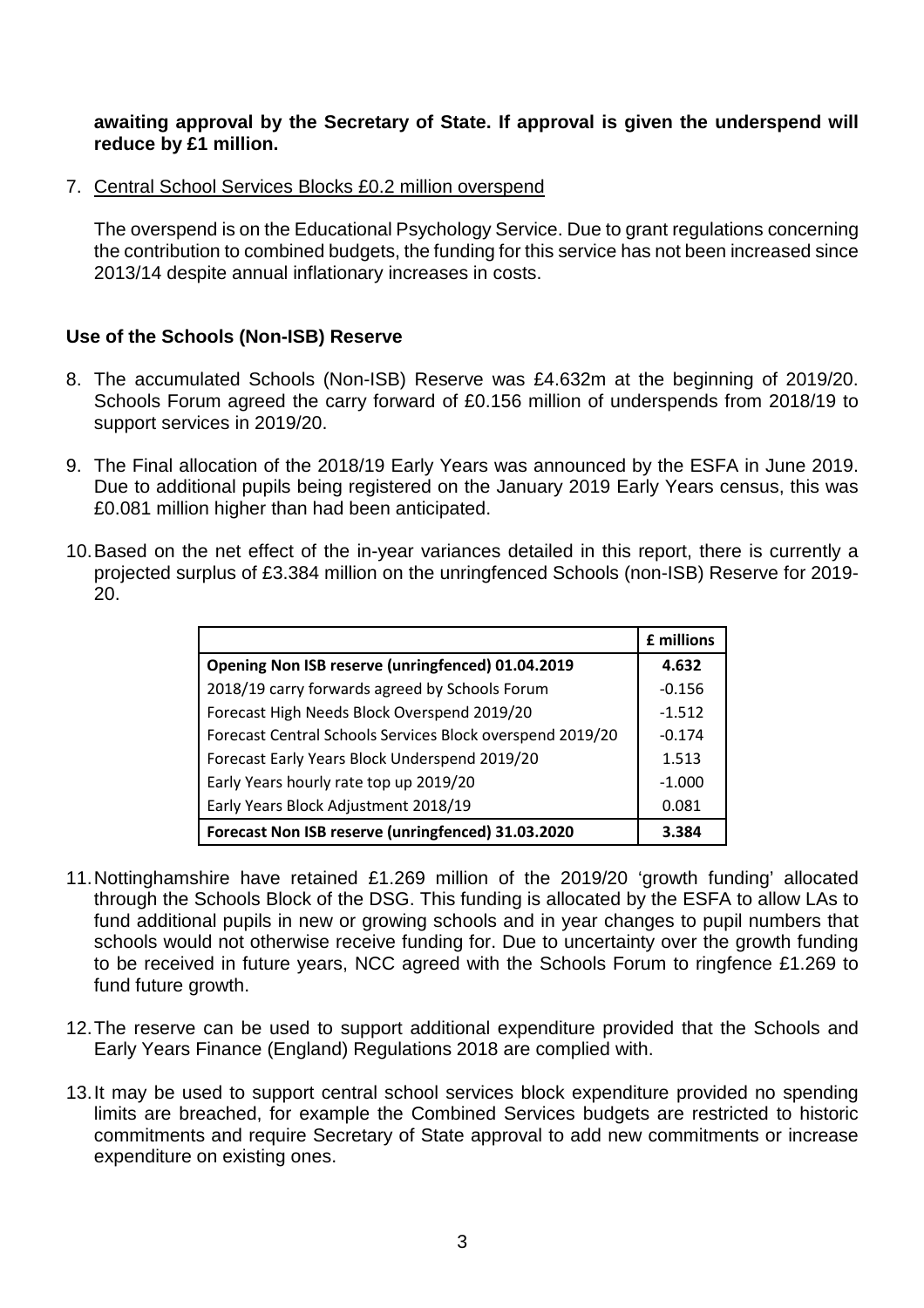#### **awaiting approval by the Secretary of State. If approval is given the underspend will reduce by £1 million.**

7. Central School Services Blocks £0.2 million overspend

The overspend is on the Educational Psychology Service. Due to grant regulations concerning the contribution to combined budgets, the funding for this service has not been increased since 2013/14 despite annual inflationary increases in costs.

#### **Use of the Schools (Non-ISB) Reserve**

- 8. The accumulated Schools (Non-ISB) Reserve was £4.632m at the beginning of 2019/20. Schools Forum agreed the carry forward of £0.156 million of underspends from 2018/19 to support services in 2019/20.
- 9. The Final allocation of the 2018/19 Early Years was announced by the ESFA in June 2019. Due to additional pupils being registered on the January 2019 Early Years census, this was £0.081 million higher than had been anticipated.
- 10. Based on the net effect of the in-year variances detailed in this report, there is currently a projected surplus of £3.384 million on the unringfenced Schools (non-ISB) Reserve for 2019- 20.

|                                                           | £ millions |
|-----------------------------------------------------------|------------|
| Opening Non ISB reserve (unringfenced) 01.04.2019         | 4.632      |
| 2018/19 carry forwards agreed by Schools Forum            | $-0.156$   |
| Forecast High Needs Block Overspend 2019/20               | $-1.512$   |
| Forecast Central Schools Services Block overspend 2019/20 | $-0.174$   |
| Forecast Early Years Block Underspend 2019/20             | 1.513      |
| Early Years hourly rate top up 2019/20                    | $-1.000$   |
| Early Years Block Adjustment 2018/19                      | 0.081      |
| Forecast Non ISB reserve (unringfenced) 31.03.2020        | 3.384      |

- 11. Nottinghamshire have retained £1.269 million of the 2019/20 'growth funding' allocated through the Schools Block of the DSG. This funding is allocated by the ESFA to allow LAs to fund additional pupils in new or growing schools and in year changes to pupil numbers that schools would not otherwise receive funding for. Due to uncertainty over the growth funding to be received in future years, NCC agreed with the Schools Forum to ringfence £1.269 to fund future growth.
- 12. The reserve can be used to support additional expenditure provided that the Schools and Early Years Finance (England) Regulations 2018 are complied with.
- 13. It may be used to support central school services block expenditure provided no spending limits are breached, for example the Combined Services budgets are restricted to historic commitments and require Secretary of State approval to add new commitments or increase expenditure on existing ones.